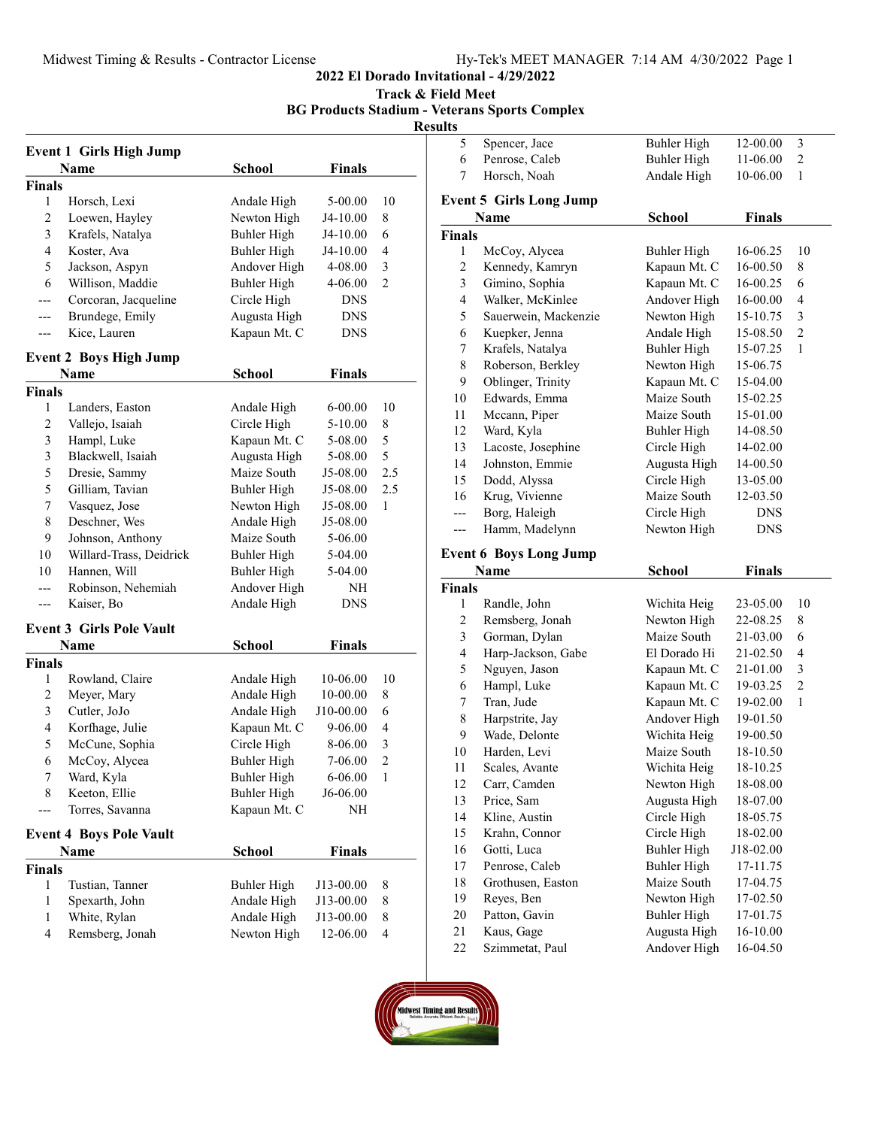2022 El Dorado Invitational - 4/29/2022

Track & Field Meet

BG Products Stadium - Veterans Sports Complex

# **Results**

|                          | <b>Event 1 Girls High Jump</b>          |                              |                    |                |
|--------------------------|-----------------------------------------|------------------------------|--------------------|----------------|
|                          | <b>Name</b>                             | <b>School</b>                | <b>Finals</b>      |                |
| Finals                   |                                         |                              |                    |                |
| 1                        | Horsch, Lexi                            | Andale High                  | 5-00.00            | 10             |
| 2                        | Loewen, Hayley                          | Newton High                  | J4-10.00           | 8              |
| 3                        | Krafels, Natalya                        | <b>Buhler High</b>           | J4-10.00           | 6              |
| $\overline{\mathcal{L}}$ | Koster, Ava                             | <b>Buhler High</b>           | J4-10.00           | 4              |
| 5                        | Jackson, Aspyn                          | Andover High                 | 4-08.00            | 3              |
| 6                        | Willison, Maddie                        | <b>Buhler High</b>           | 4-06.00            | 2              |
| ---                      | Corcoran, Jacqueline                    | Circle High                  | <b>DNS</b>         |                |
| ---                      | Brundege, Emily                         | Augusta High                 | <b>DNS</b>         |                |
| ---                      | Kice, Lauren                            | Kapaun Mt. C                 | <b>DNS</b>         |                |
|                          | <b>Event 2 Boys High Jump</b>           |                              |                    |                |
|                          |                                         |                              |                    |                |
|                          | Name                                    | School                       | Finals             |                |
| <b>Finals</b><br>1       |                                         |                              |                    | 10             |
|                          | Landers, Easton                         | Andale High                  | 6-00.00            |                |
| $\overline{c}$<br>3      | Vallejo, Isaiah                         | Circle High                  | 5-10.00<br>5-08.00 | 8<br>5         |
| 3                        | Hampl, Luke<br>Blackwell, Isaiah        | Kapaun Mt. C<br>Augusta High | 5-08.00            | 5              |
| 5                        | Dresie, Sammy                           | Maize South                  | J5-08.00           | 2.5            |
| 5                        | Gilliam, Tavian                         | Buhler High                  | J5-08.00           | 2.5            |
| 7                        | Vasquez, Jose                           | Newton High                  | J5-08.00           | 1              |
| 8                        | Deschner, Wes                           | Andale High                  | J5-08.00           |                |
| 9                        |                                         | Maize South                  |                    |                |
| 10                       | Johnson, Anthony                        |                              | 5-06.00<br>5-04.00 |                |
| 10                       | Willard-Trass, Deidrick<br>Hannen, Will | Buhler High<br>Buhler High   | 5-04.00            |                |
|                          | Robinson, Nehemiah                      | Andover High                 | NH                 |                |
| ---                      | Kaiser, Bo                              | Andale High                  | DNS                |                |
|                          |                                         |                              |                    |                |
|                          | <b>Event 3 Girls Pole Vault</b>         |                              |                    |                |
|                          | Name                                    | School                       | Finals             |                |
| <b>Finals</b>            |                                         |                              |                    |                |
| 1                        | Rowland, Claire                         | Andale High                  | 10-06.00           | 10             |
| 2                        | Meyer, Mary                             | Andale High                  | 10-00.00           | 8              |
| 3                        | Cutler, JoJo                            | Andale High                  | J10-00.00          | 6              |
| 4                        | Korfhage, Julie                         | Kapaun Mt. C                 | 9-06.00            | 4              |
| 5                        | McCune, Sophia                          | Circle High                  | 8-06.00            | 3              |
| 6                        | McCoy, Alycea                           | <b>Buhler High</b>           | 7-06.00            | $\overline{c}$ |
| 7                        | Ward, Kyla                              | <b>Buhler High</b>           | 6-06.00            | 1              |
| 8                        | Keeton, Ellie                           | Buhler High                  | J6-06.00           |                |
| ---                      | Torres, Savanna                         | Kapaun Mt. C                 | NΗ                 |                |
|                          | <b>Event 4 Boys Pole Vault</b>          |                              |                    |                |
|                          | Name                                    | School                       | <b>Finals</b>      |                |
| <b>Finals</b>            |                                         |                              |                    |                |
| 1                        | Tustian, Tanner                         | Buhler High                  | J13-00.00          | 8              |
| 1                        | Spexarth, John                          | Andale High                  | J13-00.00          | 8              |
| 1                        | White, Rylan                            | Andale High                  | J13-00.00          | 8              |
| 4                        | Remsberg, Jonah                         | Newton High                  | 12-06.00           | 4              |

| ults                    |                                               |                              |               |                |
|-------------------------|-----------------------------------------------|------------------------------|---------------|----------------|
| 5                       | Spencer, Jace                                 | <b>Buhler High</b>           | 12-00.00      | 3              |
| 6                       | Penrose, Caleb                                | <b>Buhler High</b>           | 11-06.00      | $\overline{c}$ |
| 7                       | Horsch, Noah                                  | Andale High                  | 10-06.00      | 1              |
|                         |                                               |                              |               |                |
|                         | <b>Event 5 Girls Long Jump</b><br><b>Name</b> |                              | <b>Finals</b> |                |
|                         |                                               | School                       |               |                |
| <b>Finals</b>           |                                               |                              |               |                |
| 1                       | McCoy, Alycea                                 | <b>Buhler High</b>           | 16-06.25      | 10             |
| 2                       | Kennedy, Kamryn                               | Kapaun Mt. C                 | 16-00.50      | 8              |
| 3                       | Gimino, Sophia                                | Kapaun Mt. C                 | 16-00.25      | 6              |
| 4                       | Walker, McKinlee                              | Andover High                 | 16-00.00      | 4              |
| 5                       | Sauerwein, Mackenzie                          | Newton High                  | 15-10.75      | 3              |
| 6                       | Kuepker, Jenna                                | Andale High                  | 15-08.50      | $\overline{c}$ |
| 7                       | Krafels, Natalya                              | <b>Buhler High</b>           | 15-07.25      | 1              |
| 8                       | Roberson, Berkley                             | Newton High                  | 15-06.75      |                |
| 9                       | Oblinger, Trinity                             | Kapaun Mt. C                 | 15-04.00      |                |
| 10                      | Edwards, Emma                                 | Maize South                  | 15-02.25      |                |
| 11                      | Mccann, Piper                                 | Maize South                  | 15-01.00      |                |
| 12                      | Ward, Kyla                                    | Buhler High                  | 14-08.50      |                |
| 13                      | Lacoste, Josephine                            | Circle High                  | 14-02.00      |                |
| 14                      | Johnston, Emmie                               | Augusta High                 | 14-00.50      |                |
| 15                      | Dodd, Alyssa                                  | Circle High<br>Maize South   | 13-05.00      |                |
| 16                      | Krug, Vivienne                                |                              | 12-03.50      |                |
|                         | Borg, Haleigh                                 | Circle High                  | <b>DNS</b>    |                |
| ---                     | Hamm, Madelynn                                | Newton High                  | DNS           |                |
|                         |                                               |                              |               |                |
|                         | <b>Event 6 Boys Long Jump</b>                 |                              |               |                |
|                         | Name                                          | <b>School</b>                | <b>Finals</b> |                |
| <b>Finals</b>           |                                               |                              |               |                |
| 1                       | Randle, John                                  | Wichita Heig                 | 23-05.00      | 10             |
| 2                       | Remsberg, Jonah                               | Newton High                  | 22-08.25      | 8              |
| 3                       | Gorman, Dylan                                 | Maize South                  | 21-03.00      | 6              |
| $\overline{\mathbf{4}}$ | Harp-Jackson, Gabe                            | El Dorado Hi                 | 21-02.50      | 4              |
| 5                       | Nguyen, Jason                                 | Kapaun Mt. C                 | 21-01.00      | $\mathfrak{Z}$ |
| 6                       | Hampl, Luke                                   | Kapaun Mt. C                 | 19-03.25      | $\overline{c}$ |
| 7                       | Tran, Jude                                    | Kapaun Mt. C                 | 19-02.00      | $\mathbf{1}$   |
| 8                       | Harpstrite, Jay                               | Andover High                 | 19-01.50      |                |
| 9                       | Wade, Delonte                                 | Wichita Heig                 | 19-00.50      |                |
| 10                      | Harden, Levi                                  | Maize South                  | 18-10.50      |                |
| 11                      | Scales, Avante                                | Wichita Heig                 | 18-10.25      |                |
| 12                      | Carr, Camden                                  | Newton High                  | 18-08.00      |                |
| 13                      | Price, Sam                                    | Augusta High                 | 18-07.00      |                |
| 14                      | Kline, Austin                                 | Circle High                  | 18-05.75      |                |
| 15                      | Krahn, Connor                                 | Circle High                  | 18-02.00      |                |
| 16                      | Gotti, Luca                                   | Buhler High                  | J18-02.00     |                |
| 17                      | Penrose, Caleb                                | <b>Buhler High</b>           | 17-11.75      |                |
| 18                      | Grothusen, Easton                             | Maize South                  | 17-04.75      |                |
| 19                      | Reyes, Ben                                    | Newton High                  | 17-02.50      |                |
| 20                      | Patton, Gavin                                 | <b>Buhler High</b>           | 17-01.75      |                |
| 21<br>22                | Kaus, Gage                                    | Augusta High<br>Andover High | 16-10.00      |                |

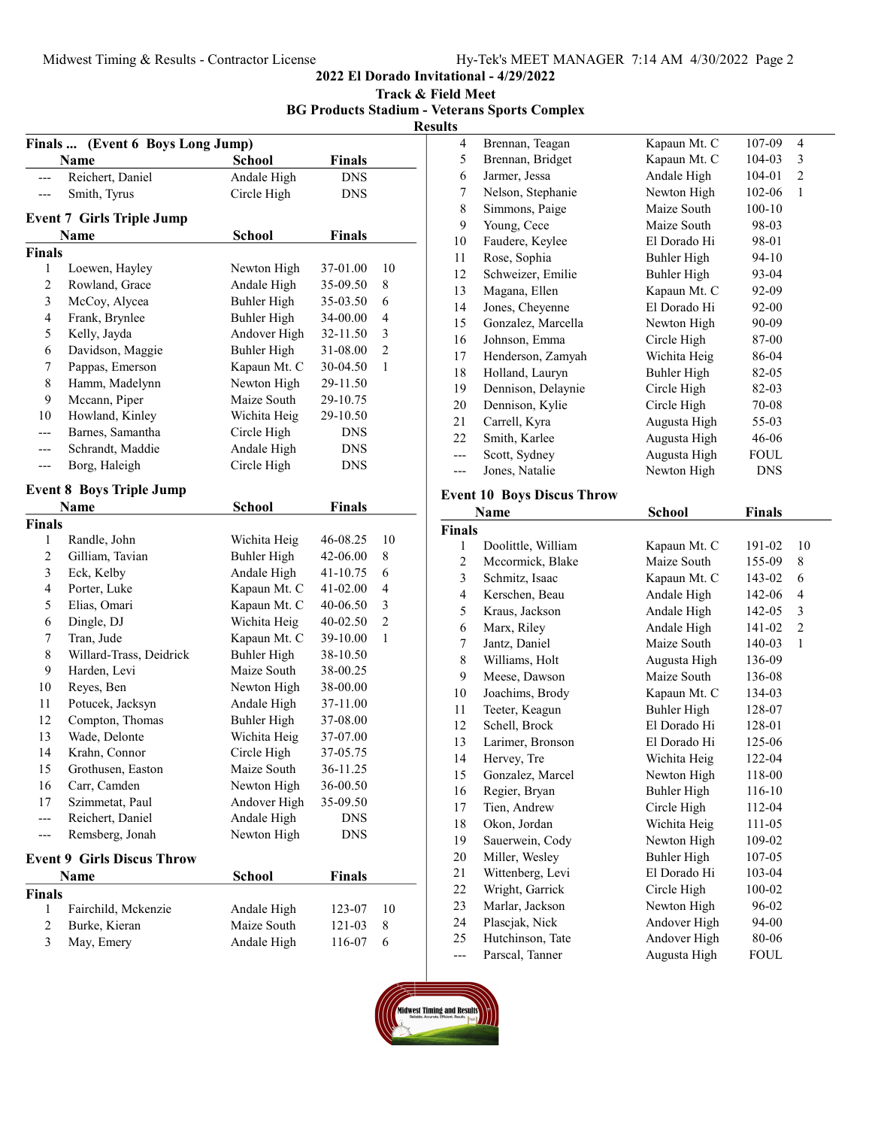2022 El Dorado Invitational - 4/29/2022

Track & Field Meet BG Products Stadium - Veterans Sports Complex

**Results** 

|                          | Finals  (Event 6 Boys Long Jump)  |                    |               |                |
|--------------------------|-----------------------------------|--------------------|---------------|----------------|
|                          | Name                              | <b>School</b>      | <b>Finals</b> |                |
|                          | Reichert, Daniel                  | Andale High        | <b>DNS</b>    |                |
|                          | Smith, Tyrus                      | Circle High        | <b>DNS</b>    |                |
|                          | <b>Event 7 Girls Triple Jump</b>  |                    |               |                |
|                          | Name                              | <b>School</b>      | <b>Finals</b> |                |
| Finals                   |                                   |                    |               |                |
| 1                        | Loewen, Hayley                    | Newton High        | 37-01.00      | 10             |
| 2                        | Rowland, Grace                    | Andale High        | 35-09.50      | 8              |
| 3                        | McCoy, Alycea                     | <b>Buhler High</b> | 35-03.50      | 6              |
| $\overline{\mathbf{4}}$  | Frank, Brynlee                    | <b>Buhler High</b> | 34-00.00      | 4              |
| 5                        | Kelly, Jayda                      | Andover High       | 32-11.50      | 3              |
| 6                        | Davidson, Maggie                  | <b>Buhler High</b> | 31-08.00      | $\overline{c}$ |
| 7                        | Pappas, Emerson                   | Kapaun Mt. C       | 30-04.50      | 1              |
| 8                        | Hamm, Madelynn                    | Newton High        | 29-11.50      |                |
| 9                        | Mccann, Piper                     | Maize South        | 29-10.75      |                |
| 10                       | Howland, Kinley                   | Wichita Heig       | 29-10.50      |                |
|                          | Barnes, Samantha                  | Circle High        | <b>DNS</b>    |                |
|                          | Schrandt, Maddie                  | Andale High        | <b>DNS</b>    |                |
|                          | Borg, Haleigh                     | Circle High        | <b>DNS</b>    |                |
|                          |                                   |                    |               |                |
|                          | <b>Event 8 Boys Triple Jump</b>   |                    |               |                |
|                          | Name                              | School             | <b>Finals</b> |                |
| Finals                   |                                   |                    |               |                |
| 1                        | Randle, John                      | Wichita Heig       | 46-08.25      | 10             |
| 2                        | Gilliam, Tavian                   | Buhler High        | 42-06.00      | 8              |
| 3                        | Eck, Kelby                        | Andale High        | 41-10.75      | 6              |
| $\overline{\mathcal{L}}$ | Porter, Luke                      | Kapaun Mt. C       | 41-02.00      | $\overline{4}$ |
| 5                        | Elias, Omari                      | Kapaun Mt. C       | 40-06.50      | 3              |
| 6                        | Dingle, DJ                        | Wichita Heig       | 40-02.50      | $\overline{c}$ |
| 7                        | Tran, Jude                        | Kapaun Mt. C       | 39-10.00      | $\mathbf{1}$   |
| 8                        | Willard-Trass, Deidrick           | <b>Buhler High</b> | 38-10.50      |                |
| 9                        | Harden, Levi                      | Maize South        | 38-00.25      |                |
| 10                       | Reyes, Ben                        | Newton High        | 38-00.00      |                |
| 11                       | Potucek, Jacksyn                  | Andale High        | 37-11.00      |                |
| 12                       | Compton, Thomas                   | Buhler High        | 37-08.00      |                |
| 13                       | Wade, Delonte                     | Wichita Heig       | 37-07.00      |                |
| 14                       | Krahn, Connor                     | Circle High        | 37-05.75      |                |
| 15                       | Grothusen, Easton                 | Maize South        | 36-11.25      |                |
| 16                       | Carr, Camden                      | Newton High        | 36-00.50      |                |
| 17                       | Szimmetat, Paul                   | Andover High       | 35-09.50      |                |
|                          | Reichert, Daniel                  | Andale High        | <b>DNS</b>    |                |
|                          | Remsberg, Jonah                   | Newton High        | <b>DNS</b>    |                |
|                          |                                   |                    |               |                |
|                          | <b>Event 9 Girls Discus Throw</b> |                    |               |                |
|                          | Name                              | School             | <b>Finals</b> |                |
| Finals                   |                                   |                    |               |                |
| 1                        | Fairchild, Mckenzie               | Andale High        | 123-07        | 10             |
| $\overline{\mathbf{c}}$  | Burke, Kieran                     | Maize South        | 121-03        | 8              |
| 3                        | May, Emery                        | Andale High        | 116-07        | 6              |

| S   |                    |              |             |   |  |
|-----|--------------------|--------------|-------------|---|--|
| 4   | Brennan, Teagan    | Kapaun Mt. C | 107-09      | 4 |  |
| 5   | Brennan, Bridget   | Kapaun Mt. C | $104 - 03$  | 3 |  |
| 6   | Jarmer, Jessa      | Andale High  | 104-01      | 2 |  |
| 7   | Nelson, Stephanie  | Newton High  | 102-06      | 1 |  |
| 8   | Simmons, Paige     | Maize South  | $100 - 10$  |   |  |
| 9   | Young, Cece        | Maize South  | 98-03       |   |  |
| 10  | Faudere, Keylee    | El Dorado Hi | 98-01       |   |  |
| 11  | Rose, Sophia       | Buhler High  | $94 - 10$   |   |  |
| 12  | Schweizer, Emilie  | Buhler High  | 93-04       |   |  |
| 13  | Magana, Ellen      | Kapaun Mt. C | 92-09       |   |  |
| 14  | Jones, Cheyenne    | El Dorado Hi | 92-00       |   |  |
| 15  | Gonzalez, Marcella | Newton High  | 90-09       |   |  |
| 16  | Johnson, Emma      | Circle High  | 87-00       |   |  |
| 17  | Henderson, Zamyah  | Wichita Heig | 86-04       |   |  |
| 18  | Holland, Lauryn    | Buhler High  | 82-05       |   |  |
| 19  | Dennison, Delaynie | Circle High  | 82-03       |   |  |
| 20  | Dennison, Kylie    | Circle High  | 70-08       |   |  |
| 21  | Carrell, Kyra      | Augusta High | 55-03       |   |  |
| 22  | Smith, Karlee      | Augusta High | 46-06       |   |  |
| --- | Scott, Sydney      | Augusta High | <b>FOUL</b> |   |  |
|     | Jones, Natalie     | Newton High  | DNS         |   |  |
|     |                    |              |             |   |  |

## Event 10 Boys Discus Throw

|                | Name               | School       | <b>Finals</b> |              |
|----------------|--------------------|--------------|---------------|--------------|
| <b>Finals</b>  |                    |              |               |              |
| 1              | Doolittle, William | Kapaun Mt. C | 191-02        | 10           |
| $\overline{c}$ | Mccormick, Blake   | Maize South  | 155-09        | 8            |
| 3              | Schmitz, Isaac     | Kapaun Mt. C | 143-02        | 6            |
| $\overline{4}$ | Kerschen, Beau     | Andale High  | 142-06        | 4            |
| 5              | Kraus, Jackson     | Andale High  | 142-05        | 3            |
| 6              | Marx, Riley        | Andale High  | 141-02        | 2            |
| 7              | Jantz, Daniel      | Maize South  | 140-03        | $\mathbf{1}$ |
| 8              | Williams, Holt     | Augusta High | 136-09        |              |
| 9              | Meese, Dawson      | Maize South  | 136-08        |              |
| 10             | Joachims, Brody    | Kapaun Mt. C | 134-03        |              |
| 11             | Teeter, Keagun     | Buhler High  | 128-07        |              |
| 12             | Schell, Brock      | El Dorado Hi | 128-01        |              |
| 13             | Larimer, Bronson   | El Dorado Hi | 125-06        |              |
| 14             | Hervey, Tre        | Wichita Heig | 122-04        |              |
| 15             | Gonzalez, Marcel   | Newton High  | 118-00        |              |
| 16             | Regier, Bryan      | Buhler High  | 116-10        |              |
| 17             | Tien, Andrew       | Circle High  | 112-04        |              |
| 18             | Okon, Jordan       | Wichita Heig | 111-05        |              |
| 19             | Sauerwein, Cody    | Newton High  | 109-02        |              |
| 20             | Miller, Wesley     | Buhler High  | 107-05        |              |
| 21             | Wittenberg, Levi   | El Dorado Hi | 103-04        |              |
| 22             | Wright, Garrick    | Circle High  | 100-02        |              |
| 23             | Marlar, Jackson    | Newton High  | 96-02         |              |
| 24             | Plascjak, Nick     | Andover High | 94-00         |              |
| 25             | Hutchinson, Tate   | Andover High | 80-06         |              |
| ---            | Parscal, Tanner    | Augusta High | FOUL          |              |

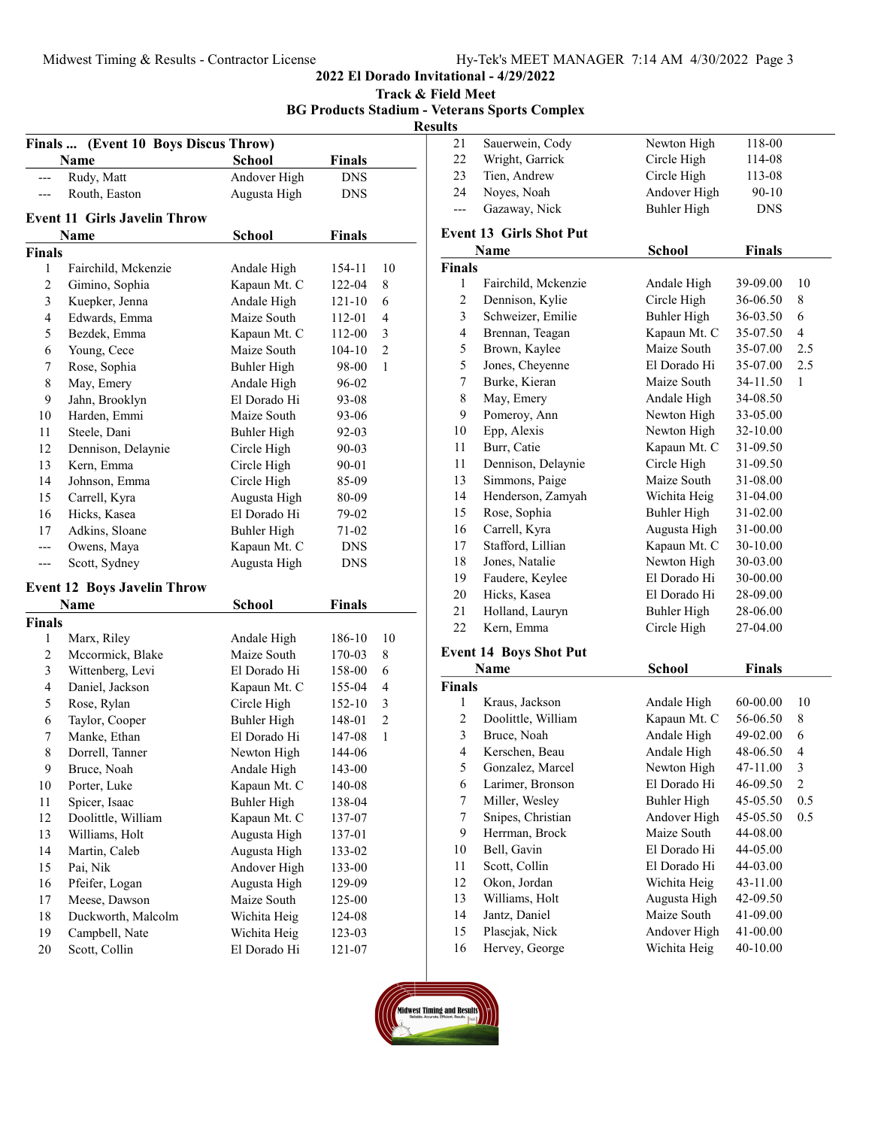# MEET MANAGER 7:14 AM 4/30/2022 Page 3

|                          | Midwest Timing & Results - Contractor License |                    |               |                |                                      | Hy-Tek's MEET MANAGER 7:14 AM 4/30/2022 Page<br>2022 El Dorado Invitational - 4/29/2022 |                    |               |
|--------------------------|-----------------------------------------------|--------------------|---------------|----------------|--------------------------------------|-----------------------------------------------------------------------------------------|--------------------|---------------|
|                          |                                               |                    |               |                | Track & Field Meet<br><b>Results</b> | <b>BG Products Stadium - Veterans Sports Complex</b>                                    |                    |               |
|                          | Finals  (Event 10 Boys Discus Throw)          |                    |               |                | 21                                   | Sauerwein, Cody                                                                         | Newton High        | 118-00        |
|                          | Name                                          | <b>School</b>      | <b>Finals</b> |                | 22                                   | Wright, Garrick                                                                         | Circle High        | 114-08        |
| ---                      | Rudy, Matt                                    | Andover High       | <b>DNS</b>    |                | 23                                   | Tien, Andrew                                                                            | Circle High        | 113-08        |
| $\hspace{0.05cm} \ldots$ | Routh, Easton                                 | Augusta High       | <b>DNS</b>    |                | 24                                   | Noyes, Noah                                                                             | Andover High       | $90 - 10$     |
|                          |                                               |                    |               |                | ---                                  | Gazaway, Nick                                                                           | <b>Buhler High</b> | <b>DNS</b>    |
|                          | <b>Event 11 Girls Javelin Throw</b>           |                    |               |                |                                      |                                                                                         |                    |               |
|                          | Name                                          | <b>School</b>      | <b>Finals</b> |                |                                      | <b>Event 13 Girls Shot Put</b>                                                          |                    |               |
| <b>Finals</b>            |                                               |                    |               |                |                                      | Name                                                                                    | <b>School</b>      | <b>Finals</b> |
| 1                        | Fairchild, Mckenzie                           | Andale High        | 154-11        | 10             | <b>Finals</b>                        |                                                                                         |                    |               |
| $\boldsymbol{2}$         | Gimino, Sophia                                | Kapaun Mt. C       | 122-04        | 8              | $\mathbf{1}$                         | Fairchild, Mckenzie                                                                     | Andale High        | 39-09.00      |
| 3                        | Kuepker, Jenna                                | Andale High        | $121 - 10$    | 6              | $\mathbf{2}$                         | Dennison, Kylie                                                                         | Circle High        | 36-06.50      |
| 4                        | Edwards, Emma                                 | Maize South        | 112-01        | 4              | $\mathfrak{Z}$                       | Schweizer, Emilie                                                                       | <b>Buhler High</b> | 36-03.50      |
| 5                        | Bezdek, Emma                                  | Kapaun Mt. C       | 112-00        | 3              | $\overline{4}$                       | Brennan, Teagan                                                                         | Kapaun Mt. C       | 35-07.50      |
| 6                        | Young, Cece                                   | Maize South        | 104-10        | $\overline{2}$ | 5                                    | Brown, Kaylee                                                                           | Maize South        | 35-07.00      |
| 7                        | Rose, Sophia                                  | <b>Buhler High</b> | 98-00         | $\mathbf{1}$   | 5                                    | Jones, Cheyenne                                                                         | El Dorado Hi       | 35-07.00      |
| $\,$ $\,$                | May, Emery                                    | Andale High        | 96-02         |                | $\boldsymbol{7}$                     | Burke, Kieran                                                                           | Maize South        | 34-11.50      |
| 9                        | Jahn, Brooklyn                                | El Dorado Hi       | 93-08         |                | 8                                    | May, Emery                                                                              | Andale High        | 34-08.50      |
| 10                       | Harden, Emmi                                  | Maize South        | $93 - 06$     |                | 9                                    | Pomeroy, Ann                                                                            | Newton High        | 33-05.00      |
| 11                       | Steele, Dani                                  | Buhler High        | 92-03         |                | 10                                   | Epp, Alexis                                                                             | Newton High        | 32-10.00      |
| 12                       | Dennison, Delaynie                            | Circle High        | 90-03         |                | 11                                   | Burr, Catie                                                                             | Kapaun Mt. C       | 31-09.50      |
| 13                       | Kern, Emma                                    | Circle High        | 90-01         |                | 11                                   | Dennison, Delaynie                                                                      | Circle High        | 31-09.50      |
| 14                       | Johnson, Emma                                 | Circle High        | 85-09         |                | 13                                   | Simmons, Paige                                                                          | Maize South        | 31-08.00      |
| 15                       | Carrell, Kyra                                 | Augusta High       | 80-09         |                | 14                                   | Henderson, Zamyah                                                                       | Wichita Heig       | 31-04.00      |
| 16                       | Hicks, Kasea                                  | El Dorado Hi       | 79-02         |                | 15                                   | Rose, Sophia                                                                            | <b>Buhler High</b> | 31-02.00      |
| 17                       | Adkins, Sloane                                | Buhler High        | $71 - 02$     |                | 16                                   | Carrell, Kyra                                                                           | Augusta High       | 31-00.00      |
| $---$                    | Owens, Maya                                   | Kapaun Mt. C       | <b>DNS</b>    |                | 17                                   | Stafford, Lillian                                                                       | Kapaun Mt. C       | 30-10.00      |
| $\qquad \qquad \cdots$   | Scott, Sydney                                 | Augusta High       | <b>DNS</b>    |                | 18                                   | Jones, Natalie                                                                          | Newton High        | 30-03.00      |
|                          |                                               |                    |               |                | 19                                   | Faudere, Keylee                                                                         | El Dorado Hi       | 30-00.00      |
|                          | <b>Event 12 Boys Javelin Throw</b>            |                    |               |                | 20                                   | Hicks, Kasea                                                                            | El Dorado Hi       | 28-09.00      |
|                          | <b>Name</b>                                   | <b>School</b>      | <b>Finals</b> |                | 21                                   | Holland, Lauryn                                                                         | Buhler High        | 28-06.00      |
| <b>Finals</b>            |                                               |                    |               |                | 22                                   | Kern, Emma                                                                              | Circle High        | 27-04.00      |
| 1                        | Marx, Riley                                   | Andale High        | 186-10        | 10             |                                      |                                                                                         |                    |               |
| 2                        | Mccormick, Blake                              | Maize South        | 170-03        | 8              |                                      | <b>Event 14 Boys Shot Put</b>                                                           |                    |               |
| 3                        | Wittenberg, Levi                              | El Dorado Hi       | 158-00        | 6              |                                      | Name                                                                                    | <b>School</b>      | <b>Finals</b> |
| 4                        | Daniel, Jackson                               | Kapaun Mt. C       | 155-04        | $\overline{4}$ | <b>Finals</b>                        |                                                                                         |                    |               |
| 5                        | Rose, Rylan                                   | Circle High        | 152-10        | 3              | 1                                    | Kraus, Jackson                                                                          | Andale High        | 60-00.00      |
| 6                        | Taylor, Cooper                                | <b>Buhler High</b> | 148-01        | $\overline{c}$ | $\boldsymbol{2}$                     | Doolittle, William                                                                      | Kapaun Mt. C       | 56-06.50      |
| 7                        | Manke, Ethan                                  | El Dorado Hi       | 147-08        | $\mathbf{1}$   | $\mathfrak{Z}$                       | Bruce, Noah                                                                             | Andale High        | 49-02.00      |
| 8                        | Dorrell, Tanner                               | Newton High        | 144-06        |                | $\overline{4}$                       | Kerschen, Beau                                                                          | Andale High        | 48-06.50      |
| 9                        | Bruce, Noah                                   | Andale High        | 143-00        |                | 5                                    | Gonzalez, Marcel                                                                        | Newton High        | 47-11.00      |
| 10                       | Porter, Luke                                  | Kapaun Mt. C       | 140-08        |                | 6                                    | Larimer, Bronson                                                                        | El Dorado Hi       | 46-09.50      |
| 11                       | Spicer, Isaac                                 | <b>Buhler High</b> | 138-04        |                | 7                                    | Miller, Wesley                                                                          | <b>Buhler High</b> | 45-05.50      |
| 12                       | Doolittle, William                            | Kapaun Mt. C       | 137-07        |                | $\tau$                               | Snipes, Christian                                                                       | Andover High       | 45-05.50      |
| 13                       | Williams, Holt                                | Augusta High       | 137-01        |                | 9                                    | Herrman, Brock                                                                          | Maize South        | 44-08.00      |
| 14                       | Martin, Caleb                                 | Augusta High       | 133-02        |                | 10                                   | Bell, Gavin                                                                             | El Dorado Hi       | 44-05.00      |
| 15                       | Pai, Nik                                      | Andover High       | 133-00        |                | 11                                   | Scott, Collin                                                                           | El Dorado Hi       | 44-03.00      |
| 16                       | Pfeifer, Logan                                | Augusta High       | 129-09        |                | 12                                   | Okon, Jordan                                                                            | Wichita Heig       | 43-11.00      |
| 17                       | Meese, Dawson                                 | Maize South        | 125-00        |                | 13                                   | Williams, Holt                                                                          | Augusta High       | 42-09.50      |
| 18                       | Duckworth, Malcolm                            | Wichita Heig       | 124-08        |                | 14                                   | Jantz, Daniel                                                                           | Maize South        | 41-09.00      |
| 19                       | Campbell, Nate                                | Wichita Heig       | 123-03        |                | 15                                   | Plascjak, Nick                                                                          | Andover High       | 41-00.00      |
| 20                       | Scott, Collin                                 | El Dorado Hi       | 121-07        |                | 16                                   | Hervey, George                                                                          | Wichita Heig       | 40-10.00      |
|                          |                                               |                    |               |                |                                      |                                                                                         |                    |               |
|                          |                                               |                    |               |                |                                      |                                                                                         |                    |               |
|                          |                                               |                    |               |                |                                      |                                                                                         |                    |               |

| 22               | Wright, Garrick                  | Circle High                  | 114-08               |                |
|------------------|----------------------------------|------------------------------|----------------------|----------------|
| 23               | Tien, Andrew                     | Circle High                  | 113-08               |                |
| 24               | Noyes, Noah                      | Andover High                 | 90-10                |                |
| $---$            | Gazaway, Nick                    | <b>Buhler High</b>           | <b>DNS</b>           |                |
|                  |                                  |                              |                      |                |
|                  | <b>Event 13 Girls Shot Put</b>   |                              |                      |                |
|                  | <b>Name</b>                      | <b>School</b>                | <b>Finals</b>        |                |
| Finals           |                                  |                              |                      |                |
| 1                | Fairchild, Mckenzie              | Andale High                  | 39-09.00             | 10             |
| $\mathfrak{2}$   | Dennison, Kylie                  | Circle High                  | 36-06.50             | 8              |
| 3                | Schweizer, Emilie                | <b>Buhler High</b>           | 36-03.50             | 6              |
| 4                | Brennan, Teagan                  | Kapaun Mt. C                 | 35-07.50             | 4              |
| 5                | Brown, Kaylee                    | Maize South                  | 35-07.00             | 2.5            |
| 5                | Jones, Cheyenne                  | El Dorado Hi                 | 35-07.00             | 2.5            |
| $\tau$           | Burke, Kieran                    | Maize South                  | 34-11.50             | 1              |
| $\,$ $\,$        | May, Emery                       | Andale High                  | 34-08.50             |                |
| 9                | Pomeroy, Ann                     | Newton High                  | 33-05.00             |                |
| 10               | Epp, Alexis                      | Newton High                  | 32-10.00             |                |
| 11               | Burr, Catie                      | Kapaun Mt. C                 | 31-09.50             |                |
| 11               | Dennison, Delaynie               | Circle High                  | 31-09.50             |                |
| 13               | Simmons, Paige                   | Maize South                  | 31-08.00             |                |
| 14               | Henderson, Zamyah                | Wichita Heig                 | 31-04.00             |                |
| 15               | Rose, Sophia                     | <b>Buhler High</b>           | 31-02.00             |                |
| 16               | Carrell, Kyra                    | Augusta High                 | 31-00.00             |                |
| 17               | Stafford, Lillian                | Kapaun Mt. C                 | $30 - 10.00$         |                |
| 18               | Jones, Natalie                   | Newton High                  | 30-03.00             |                |
| 19               | Faudere, Keylee                  | El Dorado Hi                 | 30-00.00             |                |
| 20               | Hicks, Kasea                     | El Dorado Hi                 | 28-09.00             |                |
| 21               | Holland, Lauryn                  | Buhler High                  | 28-06.00             |                |
| 22               | Kern, Emma                       | Circle High                  | 27-04.00             |                |
|                  | <b>Event 14 Boys Shot Put</b>    |                              |                      |                |
|                  | Name                             | <b>School</b>                | <b>Finals</b>        |                |
| Finals           |                                  |                              |                      |                |
| 1                | Kraus, Jackson                   | Andale High                  | 60-00.00             | 10             |
| $\mathbf{2}$     | Doolittle, William               | Kapaun Mt. C                 | 56-06.50             | 8              |
| 3                | Bruce, Noah                      | Andale High                  | 49-02.00             | 6              |
| 4                | Kerschen, Beau                   | Andale High                  | 48-06.50             | 4              |
| 5                | Gonzalez, Marcel                 | Newton High                  | 47-11.00             | $\mathfrak{Z}$ |
| 6                | Larimer, Bronson                 | El Dorado Hi                 | 46-09.50             | $\overline{c}$ |
| $\boldsymbol{7}$ | Miller, Wesley                   | <b>Buhler High</b>           | 45-05.50             | 0.5            |
| $\boldsymbol{7}$ | Snipes, Christian                | Andover High                 | 45-05.50             | 0.5            |
| 9                | Herrman, Brock                   | Maize South                  | 44-08.00             |                |
| $10\,$           | Bell, Gavin                      | El Dorado Hi                 | 44-05.00             |                |
| 11               | Scott, Collin                    | El Dorado Hi                 | 44-03.00             |                |
| 12               | Okon, Jordan                     | Wichita Heig                 | 43-11.00             |                |
| 13               | Williams, Holt                   | Augusta High                 | 42-09.50             |                |
| 14               |                                  |                              |                      |                |
|                  |                                  | Maize South                  |                      |                |
|                  | Jantz, Daniel                    |                              | 41-09.00             |                |
| 15<br>16         | Plascjak, Nick<br>Hervey, George | Andover High<br>Wichita Heig | 41-00.00<br>40-10.00 |                |

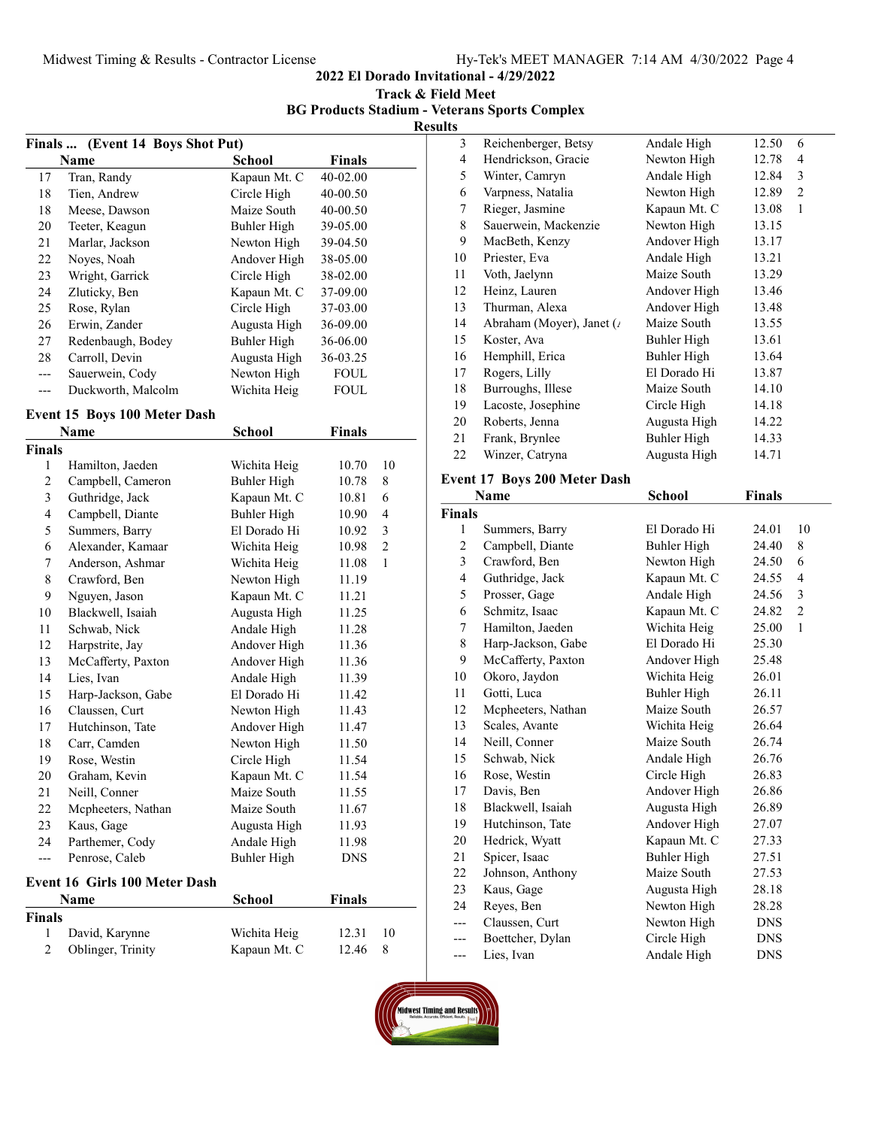2022 El Dorado Invitational - 4/29/2022

Track & Field Meet BG Products Stadium - Veterans Sports Complex

Results

|     | Finals  (Event 14 Boys Shot Put) |               |               |  |
|-----|----------------------------------|---------------|---------------|--|
|     | Name                             | <b>School</b> | <b>Finals</b> |  |
| 17  | Tran, Randy                      | Kapaun Mt. C  | 40-02.00      |  |
| 18  | Tien, Andrew                     | Circle High   | 40-00.50      |  |
| 18  | Meese, Dawson                    | Maize South   | 40-00.50      |  |
| 20  | Teeter, Keagun                   | Buhler High   | 39-05.00      |  |
| 21  | Marlar, Jackson                  | Newton High   | 39-04.50      |  |
| 22  | Noyes, Noah                      | Andover High  | 38-05.00      |  |
| 23  | Wright, Garrick                  | Circle High   | 38-02.00      |  |
| 24  | Zluticky, Ben                    | Kapaun Mt. C  | 37-09.00      |  |
| 25  | Rose, Rylan                      | Circle High   | 37-03.00      |  |
| 26  | Erwin, Zander                    | Augusta High  | 36-09.00      |  |
| 27  | Redenbaugh, Bodey                | Buhler High   | 36-06.00      |  |
| 28  | Carroll, Devin                   | Augusta High  | 36-03.25      |  |
| --- | Sauerwein, Cody                  | Newton High   | <b>FOUL</b>   |  |
|     | Duckworth, Malcolm               | Wichita Heig  | FOUL          |  |

## Event 15 Boys 100 Meter Dash

|                | Name                                 | <b>School</b> | <b>Finals</b> |                |
|----------------|--------------------------------------|---------------|---------------|----------------|
| <b>Finals</b>  |                                      |               |               |                |
| 1              | Hamilton, Jaeden                     | Wichita Heig  | 10.70         | 10             |
| 2              | Campbell, Cameron                    | Buhler High   | 10.78         | 8              |
| 3              | Guthridge, Jack                      | Kapaun Mt. C  | 10.81         | 6              |
| 4              | Campbell, Diante                     | Buhler High   | 10.90         | $\overline{4}$ |
| 5              | Summers, Barry                       | El Dorado Hi  | 10.92         | 3              |
| 6              | Alexander, Kamaar                    | Wichita Heig  | 10.98         | $\overline{2}$ |
| 7              | Anderson, Ashmar                     | Wichita Heig  | 11.08         | $\mathbf{1}$   |
| 8              | Crawford, Ben                        | Newton High   | 11.19         |                |
| 9              | Nguyen, Jason                        | Kapaun Mt. C  | 11.21         |                |
| 10             | Blackwell, Isaiah                    | Augusta High  | 11.25         |                |
| 11             | Schwab, Nick                         | Andale High   | 11.28         |                |
| 12             | Harpstrite, Jay                      | Andover High  | 11.36         |                |
| 13             | McCafferty, Paxton                   | Andover High  | 11.36         |                |
| 14             | Lies, Ivan                           | Andale High   | 11.39         |                |
| 15             | Harp-Jackson, Gabe                   | El Dorado Hi  | 11.42         |                |
| 16             | Claussen, Curt                       | Newton High   | 11.43         |                |
| 17             | Hutchinson, Tate                     | Andover High  | 11.47         |                |
| 18             | Carr, Camden                         | Newton High   | 11.50         |                |
| 19             | Rose, Westin                         | Circle High   | 11.54         |                |
| 20             | Graham, Kevin                        | Kapaun Mt. C  | 11.54         |                |
| 21             | Neill, Conner                        | Maize South   | 11.55         |                |
| 22             | Mcpheeters, Nathan                   | Maize South   | 11.67         |                |
| 23             | Kaus, Gage                           | Augusta High  | 11.93         |                |
| 24             | Parthemer, Cody                      | Andale High   | 11.98         |                |
| ---            | Penrose, Caleb                       | Buhler High   | <b>DNS</b>    |                |
|                | <b>Event 16 Girls 100 Meter Dash</b> |               |               |                |
|                | <b>Name</b>                          | <b>School</b> | Finals        |                |
| <b>Finals</b>  |                                      |               |               |                |
| 1              | David, Karynne                       | Wichita Heig  | 12.31         | 10             |
| $\overline{2}$ | Oblinger, Trinity                    | Kapaun Mt. C  | 12.46         | 8              |

| 3  | Reichenberger, Betsy      | Andale High  | 12.50 | 6              |  |
|----|---------------------------|--------------|-------|----------------|--|
| 4  | Hendrickson, Gracie       | Newton High  | 12.78 | 4              |  |
| 5  | Winter, Camryn            | Andale High  | 12.84 | 3              |  |
| 6  | Varpness, Natalia         | Newton High  | 12.89 | $\overline{2}$ |  |
| 7  | Rieger, Jasmine           | Kapaun Mt. C | 13.08 | $\mathbf{1}$   |  |
| 8  | Sauerwein, Mackenzie      | Newton High  | 13.15 |                |  |
| 9  | MacBeth, Kenzy            | Andover High | 13.17 |                |  |
| 10 | Priester, Eva             | Andale High  | 13.21 |                |  |
| 11 | Voth, Jaelynn             | Maize South  | 13.29 |                |  |
| 12 | Heinz, Lauren             | Andover High | 13.46 |                |  |
| 13 | Thurman, Alexa            | Andover High | 13.48 |                |  |
| 14 | Abraham (Moyer), Janet (/ | Maize South  | 13.55 |                |  |
| 15 | Koster, Ava               | Buhler High  | 13.61 |                |  |
| 16 | Hemphill, Erica           | Buhler High  | 13.64 |                |  |
| 17 | Rogers, Lilly             | El Dorado Hi | 13.87 |                |  |
| 18 | Burroughs, Illese         | Maize South  | 14.10 |                |  |
| 19 | Lacoste, Josephine        | Circle High  | 14.18 |                |  |
| 20 | Roberts, Jenna            | Augusta High | 14.22 |                |  |
| 21 | Frank, Brynlee            | Buhler High  | 14.33 |                |  |
| 22 | Winzer, Catryna           | Augusta High | 14.71 |                |  |

## Event 17 Boys 200 Meter Dash

|                | Name               | <b>School</b> | <b>Finals</b> |                |
|----------------|--------------------|---------------|---------------|----------------|
| Finals         |                    |               |               |                |
| 1              | Summers, Barry     | El Dorado Hi  | 24.01         | 10             |
| $\overline{c}$ | Campbell, Diante   | Buhler High   | 24.40         | 8              |
| 3              | Crawford, Ben      | Newton High   | 24.50         | 6              |
| 4              | Guthridge, Jack    | Kapaun Mt. C  | 24.55         | $\overline{4}$ |
| 5              | Prosser, Gage      | Andale High   | 24.56         | 3              |
| 6              | Schmitz, Isaac     | Kapaun Mt. C  | 24.82         | $\overline{2}$ |
| 7              | Hamilton, Jaeden   | Wichita Heig  | 25.00         | 1              |
| 8              | Harp-Jackson, Gabe | El Dorado Hi  | 25.30         |                |
| 9              | McCafferty, Paxton | Andover High  | 25.48         |                |
| 10             | Okoro, Jaydon      | Wichita Heig  | 26.01         |                |
| 11             | Gotti, Luca        | Buhler High   | 26.11         |                |
| 12             | Mcpheeters, Nathan | Maize South   | 26.57         |                |
| 13             | Scales, Avante     | Wichita Heig  | 26.64         |                |
| 14             | Neill, Conner      | Maize South   | 26.74         |                |
| 15             | Schwab, Nick       | Andale High   | 26.76         |                |
| 16             | Rose, Westin       | Circle High   | 26.83         |                |
| 17             | Davis, Ben         | Andover High  | 26.86         |                |
| 18             | Blackwell, Isaiah  | Augusta High  | 26.89         |                |
| 19             | Hutchinson, Tate   | Andover High  | 27.07         |                |
| 20             | Hedrick, Wyatt     | Kapaun Mt. C  | 27.33         |                |
| 21             | Spicer, Isaac      | Buhler High   | 27.51         |                |
| 22             | Johnson, Anthony   | Maize South   | 27.53         |                |
| 23             | Kaus, Gage         | Augusta High  | 28.18         |                |
| 24             | Reyes, Ben         | Newton High   | 28.28         |                |
|                | Claussen, Curt     | Newton High   | <b>DNS</b>    |                |
| ---            | Boettcher, Dylan   | Circle High   | <b>DNS</b>    |                |
| ---            | Lies, Ivan         | Andale High   | <b>DNS</b>    |                |

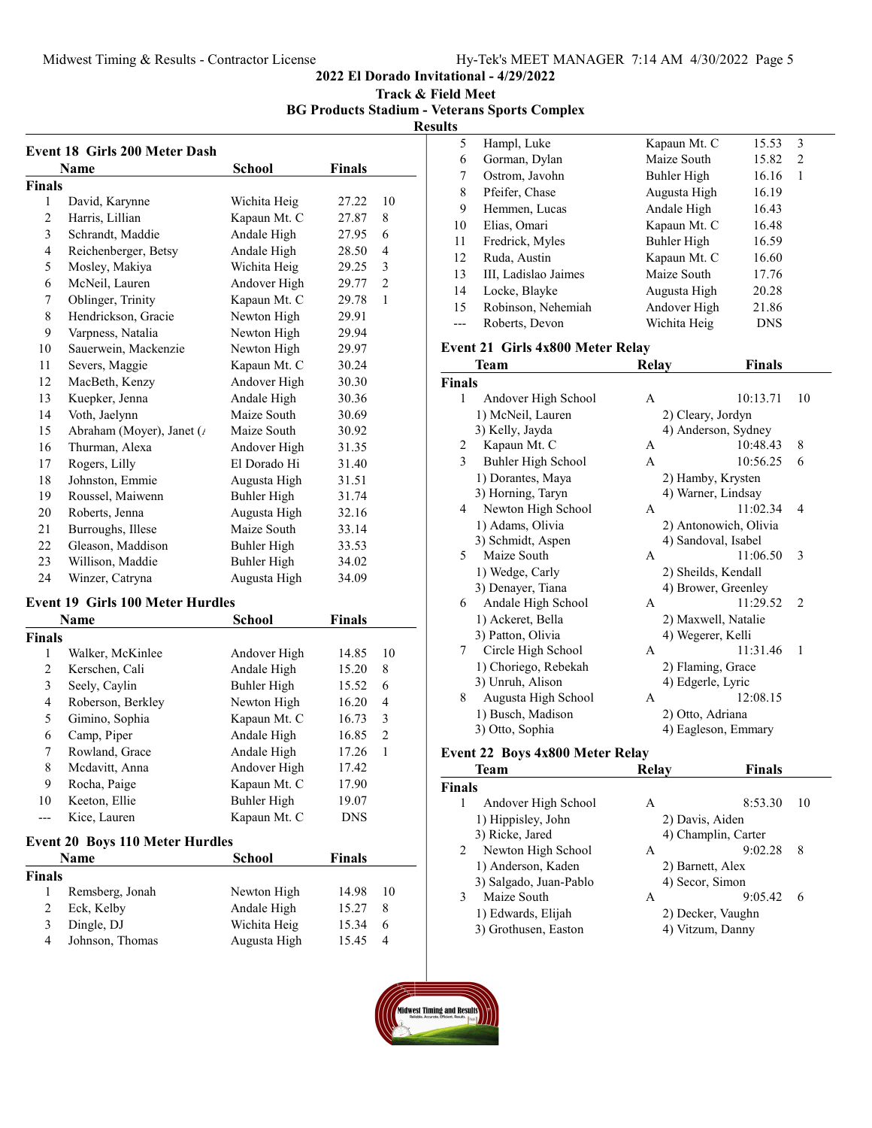2022 El Dorado Invitational - 4/29/2022

Track & Field Meet

BG Products Stadium - Veterans Sports Complex

Results

|                | Name                     | <b>School</b> | Finals |              |
|----------------|--------------------------|---------------|--------|--------------|
| <b>Finals</b>  |                          |               |        |              |
| 1              | David, Karynne           | Wichita Heig  | 27.22  | 10           |
| $\overline{2}$ | Harris, Lillian          | Kapaun Mt. C  | 27.87  | 8            |
| 3              | Schrandt, Maddie         | Andale High   | 27.95  | 6            |
| 4              | Reichenberger, Betsy     | Andale High   | 28.50  | 4            |
| 5              | Mosley, Makiya           | Wichita Heig  | 29.25  | 3            |
| 6              | McNeil, Lauren           | Andover High  | 29.77  | 2            |
| 7              | Oblinger, Trinity        | Kapaun Mt. C  | 29.78  | $\mathbf{1}$ |
| 8              | Hendrickson, Gracie      | Newton High   | 29.91  |              |
| 9              | Varpness, Natalia        | Newton High   | 29.94  |              |
| 10             | Sauerwein, Mackenzie     | Newton High   | 29.97  |              |
| 11             | Severs, Maggie           | Kapaun Mt. C  | 30.24  |              |
| 12             | MacBeth, Kenzy           | Andover High  | 30.30  |              |
| 13             | Kuepker, Jenna           | Andale High   | 30.36  |              |
| 14             | Voth, Jaelynn            | Maize South   | 30.69  |              |
| 15             | Abraham (Moyer), Janet ( | Maize South   | 30.92  |              |
| 16             | Thurman, Alexa           | Andover High  | 31.35  |              |
| 17             | Rogers, Lilly            | El Dorado Hi  | 31.40  |              |
| 18             | Johnston, Emmie          | Augusta High  | 31.51  |              |
| 19             | Roussel, Maiwenn         | Buhler High   | 31.74  |              |
| 20             | Roberts, Jenna           | Augusta High  | 32.16  |              |
| 21             | Burroughs, Illese        | Maize South   | 33.14  |              |
| 22             | Gleason, Maddison        | Buhler High   | 33.53  |              |
| 23             | Willison, Maddie         | Buhler High   | 34.02  |              |
| 24             | Winzer, Catryna          | Augusta High  | 34.09  |              |

#### Event 19 Girls 100 Meter Hurdles

| <b>Name</b>   |                   | School       | <b>Finals</b> |    |
|---------------|-------------------|--------------|---------------|----|
| <b>Finals</b> |                   |              |               |    |
| 1             | Walker, McKinlee  | Andover High | 14.85         | 10 |
| 2             | Kerschen, Cali    | Andale High  | 15.20         | 8  |
| 3             | Seely, Caylin     | Buhler High  | 15.52         | 6  |
| 4             | Roberson, Berkley | Newton High  | 16.20         | 4  |
| 5             | Gimino, Sophia    | Kapaun Mt. C | 16.73         | 3  |
| 6             | Camp, Piper       | Andale High  | 16.85         | 2  |
| 7             | Rowland, Grace    | Andale High  | 17.26         | 1  |
| 8             | Mcdavitt, Anna    | Andover High | 17.42         |    |
| 9             | Rocha, Paige      | Kapaun Mt. C | 17.90         |    |
| 10            | Keeton, Ellie     | Buhler High  | 19.07         |    |
|               | Kice, Lauren      | Kapaun Mt. C | <b>DNS</b>    |    |

#### Event 20 Boys 110 Meter Hurdles

| <b>Name</b> |                 | <b>School</b> | <b>Finals</b> |     |
|-------------|-----------------|---------------|---------------|-----|
| Finals      |                 |               |               |     |
|             | Remsberg, Jonah | Newton High   | 14.98         | -10 |
|             | Eck, Kelby      | Andale High   | 15.27         | 8   |
|             | Dingle, DJ      | Wichita Heig  | 15.34         | 6   |
| 4           | Johnson, Thomas | Augusta High  | 15.45         | 4   |

| w  |                      |              |            |  |
|----|----------------------|--------------|------------|--|
| 5  | Hampl, Luke          | Kapaun Mt. C | 3<br>15.53 |  |
| 6  | Gorman, Dylan        | Maize South  | 15.82<br>2 |  |
| 7  | Ostrom, Javohn       | Buhler High  | 16.16<br>1 |  |
| 8  | Pfeifer, Chase       | Augusta High | 16.19      |  |
| 9  | Hemmen, Lucas        | Andale High  | 16.43      |  |
| 10 | Elias, Omari         | Kapaun Mt. C | 16.48      |  |
| 11 | Fredrick, Myles      | Buhler High  | 16.59      |  |
| 12 | Ruda, Austin         | Kapaun Mt. C | 16.60      |  |
| 13 | III, Ladislao Jaimes | Maize South  | 17.76      |  |
| 14 | Locke, Blayke        | Augusta High | 20.28      |  |
| 15 | Robinson, Nehemiah   | Andover High | 21.86      |  |
|    | Roberts, Devon       | Wichita Heig | <b>DNS</b> |  |
|    |                      |              |            |  |

## Event 21 Girls 4x800 Meter Relay

|               | Team                            | Relay        | <b>Finals</b>         |                |
|---------------|---------------------------------|--------------|-----------------------|----------------|
| <b>Finals</b> |                                 |              |                       |                |
| 1             | Andover High School             | A            | 10:13.71              | 10             |
|               | 1) McNeil, Lauren               |              | 2) Cleary, Jordyn     |                |
|               | 3) Kelly, Jayda                 |              | 4) Anderson, Sydney   |                |
| 2             | Kapaun Mt. C                    | A            | 10:48.43              | 8              |
| 3             | Buhler High School              | A            | 10:56.25              | 6              |
|               | 1) Dorantes, Maya               |              | 2) Hamby, Krysten     |                |
|               | 3) Horning, Taryn               |              | 4) Warner, Lindsay    |                |
| 4             | Newton High School              | A            | 11:02.34              | 4              |
|               | 1) Adams, Olivia                |              | 2) Antonowich, Olivia |                |
|               | 3) Schmidt, Aspen               |              | 4) Sandoval, Isabel   |                |
| 5             | Maize South                     | A            | 11:06.50              | 3              |
|               | 1) Wedge, Carly                 |              | 2) Sheilds, Kendall   |                |
|               | 3) Denayer, Tiana               |              | 4) Brower, Greenley   |                |
| 6             | Andale High School              | A            | 11:29.52              | $\overline{c}$ |
|               | 1) Ackeret, Bella               |              | 2) Maxwell, Natalie   |                |
|               | 3) Patton, Olivia               |              | 4) Wegerer, Kelli     |                |
| 7             | Circle High School              | $\mathsf{A}$ | 11:31.46              | 1              |
|               | 1) Choriego, Rebekah            |              | 2) Flaming, Grace     |                |
|               | 3) Unruh, Alison                |              | 4) Edgerle, Lyric     |                |
| 8             | Augusta High School             | A            | 12:08.15              |                |
|               | 1) Busch, Madison               |              | 2) Otto, Adriana      |                |
|               | 3) Otto, Sophia                 |              | 4) Eagleson, Emmary   |                |
|               | Event 22 Boys 4x800 Meter Relay |              |                       |                |

#### Event 22 Boys 4x800 Meter Relay

|               | <b>Team</b>            | <b>Relay</b>     | <b>Finals</b>       |    |
|---------------|------------------------|------------------|---------------------|----|
| <b>Finals</b> |                        |                  |                     |    |
| 1             | Andover High School    | A                | 8:53.30             | 10 |
|               | 1) Hippisley, John     | 2) Davis, Aiden  |                     |    |
|               | 3) Ricke, Jared        |                  | 4) Champlin, Carter |    |
| 2             | Newton High School     | A                | 9:02.28             | 8  |
|               | 1) Anderson, Kaden     | 2) Barnett, Alex |                     |    |
|               | 3) Salgado, Juan-Pablo | 4) Secor, Simon  |                     |    |
| 3             | Maize South            | A                | 9:05.42             | 6  |
|               | 1) Edwards, Elijah     |                  | 2) Decker, Vaughn   |    |
|               | 3) Grothusen, Easton   |                  | 4) Vitzum, Danny    |    |
|               |                        |                  |                     |    |

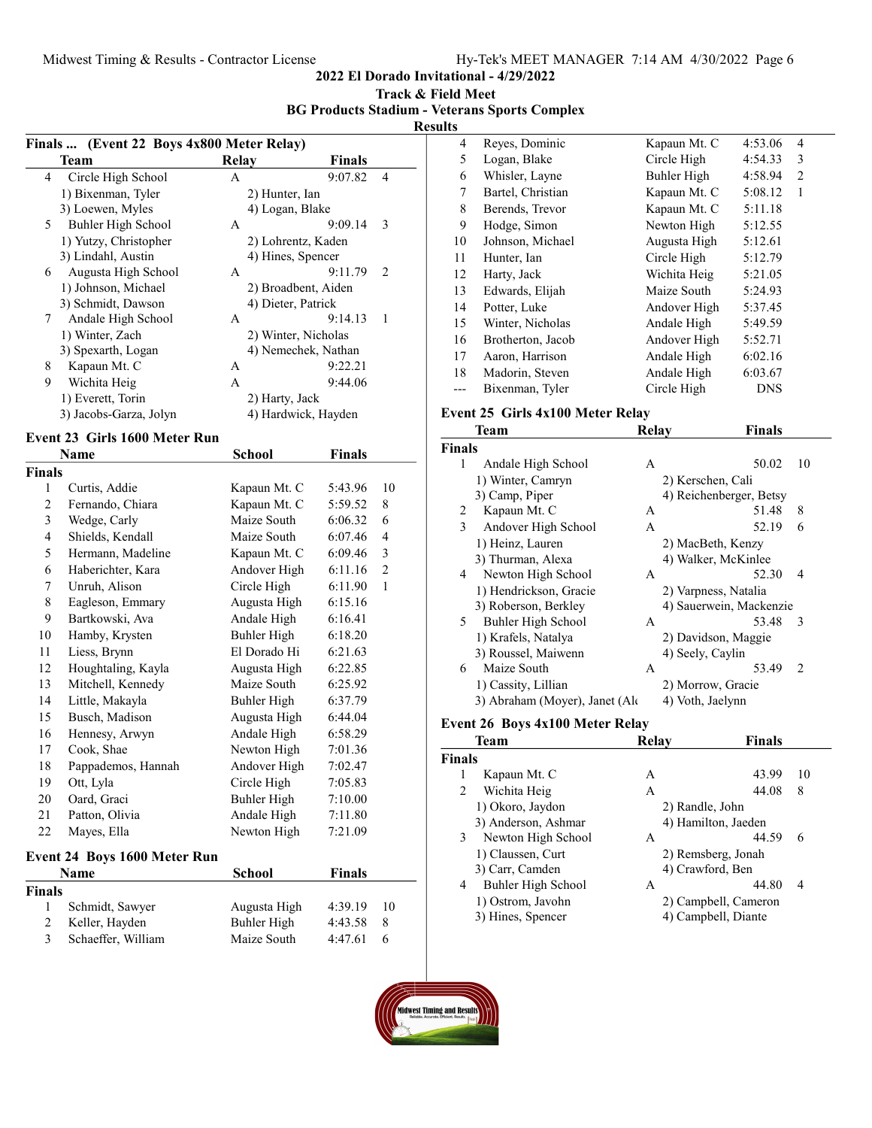2022 El Dorado Invitational - 4/29/2022

| Track & Field Meet |  |  |
|--------------------|--|--|
|--------------------|--|--|

BG Products Stadium - Veterans Sports Complex

|                         | (Event 22 Boys 4x800 Meter Relay)<br><b>Finals</b><br>Team | <b>Relay</b>        | <b>Finals</b>       |                |
|-------------------------|------------------------------------------------------------|---------------------|---------------------|----------------|
| 4                       | Circle High School                                         | A                   | 9:07.82             | 4              |
|                         | 1) Bixenman, Tyler                                         | 2) Hunter, Ian      |                     |                |
|                         | 3) Loewen, Myles                                           | 4) Logan, Blake     |                     |                |
| 5                       | Buhler High School                                         | A                   | 9:09.14             | 3              |
|                         | 1) Yutzy, Christopher                                      | 2) Lohrentz, Kaden  |                     |                |
|                         | 3) Lindahl, Austin                                         | 4) Hines, Spencer   |                     |                |
| 6                       | Augusta High School                                        | A                   | 9:11.79             | 2              |
|                         | 1) Johnson, Michael                                        |                     | 2) Broadbent, Aiden |                |
|                         | 3) Schmidt, Dawson                                         | 4) Dieter, Patrick  |                     |                |
| 7                       | Andale High School                                         | А                   | 9:14.13             | 1              |
|                         | 1) Winter, Zach                                            | 2) Winter, Nicholas |                     |                |
|                         | 3) Spexarth, Logan                                         |                     | 4) Nemechek, Nathan |                |
| 8                       | Kapaun Mt. C                                               | A                   | 9:22.21             |                |
| 9                       | Wichita Heig                                               | A                   | 9:44.06             |                |
|                         | 1) Everett, Torin                                          | 2) Harty, Jack      |                     |                |
|                         | 3) Jacobs-Garza, Jolyn                                     |                     | 4) Hardwick, Hayden |                |
|                         |                                                            |                     |                     |                |
|                         | Event 23 Girls 1600 Meter Run<br>Name                      | <b>School</b>       | <b>Finals</b>       |                |
| <b>Finals</b>           |                                                            |                     |                     |                |
| 1                       | Curtis, Addie                                              | Kapaun Mt. C        | 5:43.96             | 10             |
| $\overline{c}$          | Fernando, Chiara                                           | Kapaun Mt. C        | 5:59.52             | 8              |
| 3                       | Wedge, Carly                                               | Maize South         | 6:06.32             | 6              |
| $\overline{4}$          | Shields, Kendall                                           | Maize South         | 6:07.46             | 4              |
| 5                       | Hermann, Madeline                                          | Kapaun Mt. C        | 6:09.46             | 3              |
| 6                       | Haberichter, Kara                                          | Andover High        | 6:11.16             | $\overline{c}$ |
| 7                       | Unruh, Alison                                              | Circle High         | 6:11.90             | $\mathbf{1}$   |
| 8                       | Eagleson, Emmary                                           | Augusta High        | 6:15.16             |                |
|                         |                                                            |                     |                     |                |
| 9                       | Bartkowski, Ava                                            | Andale High         | 6:16.41             |                |
| 10                      | Hamby, Krysten                                             | <b>Buhler High</b>  | 6:18.20             |                |
| 11                      | Liess, Brynn                                               | El Dorado Hi        | 6:21.63             |                |
| 12                      | Houghtaling, Kayla                                         | Augusta High        | 6:22.85             |                |
| 13                      | Mitchell, Kennedy                                          | Maize South         | 6:25.92             |                |
| 14                      | Little, Makayla                                            | <b>Buhler High</b>  | 6:37.79             |                |
| 15                      | Busch, Madison                                             | Augusta High        | 6:44.04             |                |
| 16                      | Hennesy, Arwyn                                             | Andale High         | 6:58.29             |                |
| 17                      | Cook, Shae                                                 | Newton High         | 7:01.36             |                |
| 18                      | Pappademos, Hannah                                         | Andover High        | 7:02.47             |                |
| 19                      | Ott, Lyla                                                  | Circle High         | 7:05.83             |                |
| 20                      | Oard, Graci                                                | <b>Buhler High</b>  | 7:10.00             |                |
| 21                      | Patton, Olivia                                             | Andale High         | 7:11.80             |                |
| 22                      | Mayes, Ella                                                | Newton High         | 7:21.09             |                |
|                         | <b>Event 24 Boys 1600 Meter Run</b>                        |                     |                     |                |
|                         | Name                                                       | <b>School</b>       | <b>Finals</b>       |                |
| <b>Finals</b>           |                                                            |                     |                     |                |
| 1                       | Schmidt, Sawyer                                            | Augusta High        | 4:39.19             | 10             |
| $\sqrt{2}$              | Keller, Hayden                                             | <b>Buhler High</b>  | 4:43.58             | 8              |
| $\overline{\mathbf{3}}$ | Schaeffer, William                                         | Maize South         | 4:47.61             | 6              |
|                         |                                                            |                     |                     |                |

| ۰v |                   |              |            |                |  |
|----|-------------------|--------------|------------|----------------|--|
| 4  | Reyes, Dominic    | Kapaun Mt. C | 4:53.06    | 4              |  |
| 5  | Logan, Blake      | Circle High  | 4:54.33    | 3              |  |
| 6  | Whisler, Layne    | Buhler High  | 4:58.94    | $\overline{2}$ |  |
| 7  | Bartel, Christian | Kapaun Mt. C | 5:08.12    | $\mathbf{1}$   |  |
| 8  | Berends, Trevor   | Kapaun Mt. C | 5:11.18    |                |  |
| 9  | Hodge, Simon      | Newton High  | 5:12.55    |                |  |
| 10 | Johnson, Michael  | Augusta High | 5:12.61    |                |  |
| 11 | Hunter, Ian       | Circle High  | 5:12.79    |                |  |
| 12 | Harty, Jack       | Wichita Heig | 5:21.05    |                |  |
| 13 | Edwards, Elijah   | Maize South  | 5:24.93    |                |  |
| 14 | Potter, Luke      | Andover High | 5:37.45    |                |  |
| 15 | Winter, Nicholas  | Andale High  | 5:49.59    |                |  |
| 16 | Brotherton, Jacob | Andover High | 5:52.71    |                |  |
| 17 | Aaron, Harrison   | Andale High  | 6:02.16    |                |  |
| 18 | Madorin, Steven   | Andale High  | 6:03.67    |                |  |
|    | Bixenman, Tyler   | Circle High  | <b>DNS</b> |                |  |
|    |                   |              |            |                |  |

## Event 25 Girls 4x100 Meter Relay

|               | <b>Team</b>                    | Relay | <b>Finals</b>           |               |
|---------------|--------------------------------|-------|-------------------------|---------------|
| <b>Finals</b> |                                |       |                         |               |
| 1             | Andale High School             | A     | 50.02                   | 10            |
|               | 1) Winter, Camryn              |       | 2) Kerschen, Cali       |               |
|               | 3) Camp, Piper                 |       | 4) Reichenberger, Betsy |               |
| 2             | Kapaun Mt. C                   | А     | 51.48                   | 8             |
| 3             | Andover High School            | A     | 52.19                   | 6             |
|               | 1) Heinz, Lauren               |       | 2) MacBeth, Kenzy       |               |
|               | 3) Thurman, Alexa              |       | 4) Walker, McKinlee     |               |
| 4             | Newton High School             | A     | 52.30                   | 4             |
|               | 1) Hendrickson, Gracie         |       | 2) Varpness, Natalia    |               |
|               | 3) Roberson, Berkley           |       | 4) Sauerwein, Mackenzie |               |
| 5             | Buhler High School             | A     | 53.48                   | 3             |
|               | 1) Krafels, Natalya            |       | 2) Davidson, Maggie     |               |
|               | 3) Roussel, Maiwenn            |       | 4) Seely, Caylin        |               |
| 6             | Maize South                    | A     | 53.49                   | $\mathcal{L}$ |
|               | 1) Cassity, Lillian            |       | 2) Morrow, Gracie       |               |
|               | 3) Abraham (Moyer), Janet (Ale |       | 4) Voth, Jaelynn        |               |

## Event 26 Boys 4x100 Meter Relay

| Team          |                     | Relay           | <b>Finals</b>        |    |
|---------------|---------------------|-----------------|----------------------|----|
| <b>Finals</b> |                     |                 |                      |    |
| 1             | Kapaun Mt. C        | A               | 43.99                | 10 |
| 2             | Wichita Heig        | A               | 44.08                | 8  |
|               | 1) Okoro, Jaydon    | 2) Randle, John |                      |    |
|               | 3) Anderson, Ashmar |                 | 4) Hamilton, Jaeden  |    |
| 3             | Newton High School  | A               | 44.59                | 6  |
|               | 1) Claussen, Curt   |                 | 2) Remsberg, Jonah   |    |
|               | 3) Carr, Camden     |                 | 4) Crawford, Ben     |    |
| 4             | Buhler High School  | А               | 44.80                | 4  |
|               | 1) Ostrom, Javohn   |                 | 2) Campbell, Cameron |    |
|               | 3) Hines, Spencer   |                 | 4) Campbell, Diante  |    |

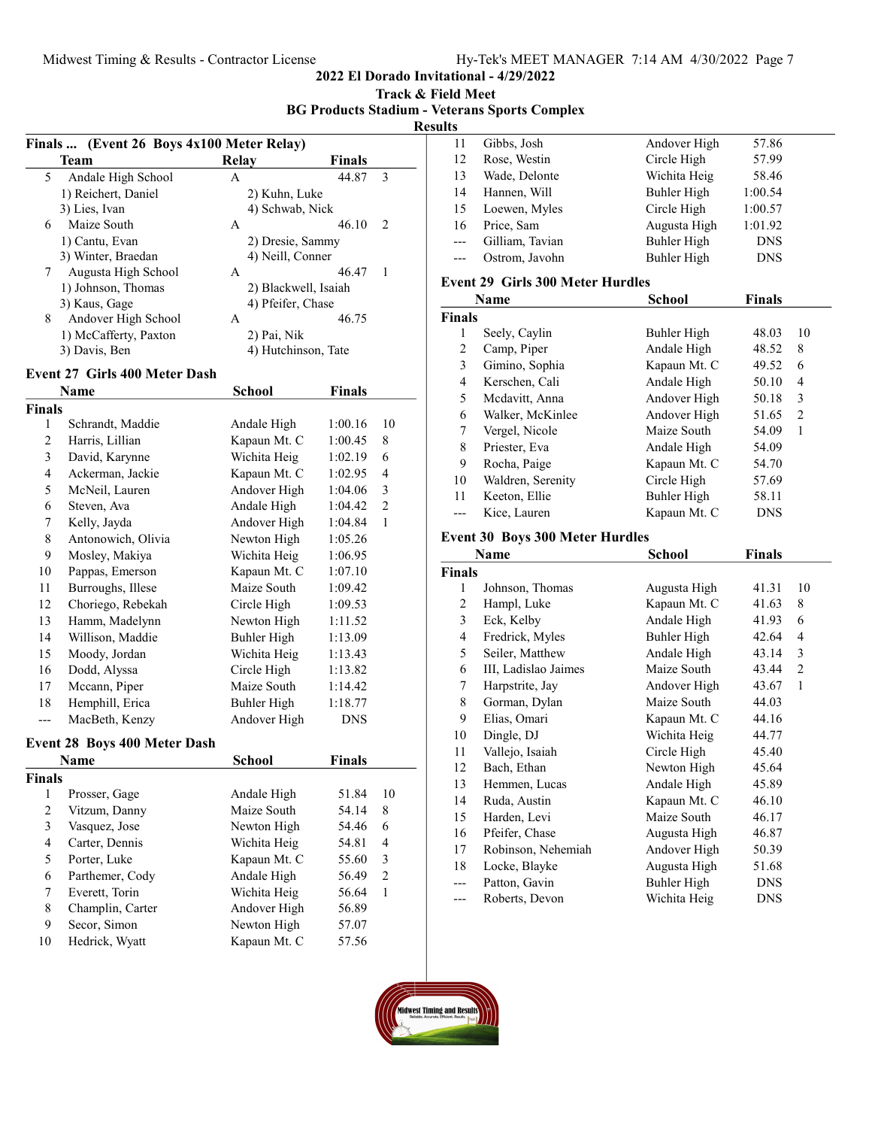2022 El Dorado Invitational - 4/29/2022

|  |  | Track & Field Meet |  |
|--|--|--------------------|--|
|  |  |                    |  |

BG Products Stadium - Veterans Sports Complex

| ۰. |  |
|----|--|
|    |  |

| Finals  (Event 26 Boys 4x100 Meter Relay) |                                      |                      |               |                |  |  |
|-------------------------------------------|--------------------------------------|----------------------|---------------|----------------|--|--|
|                                           | <b>Team</b>                          | <b>Relay</b>         | <b>Finals</b> |                |  |  |
| 5                                         | Andale High School                   | A                    | 44.87         | 3              |  |  |
|                                           | 1) Reichert, Daniel                  | 2) Kuhn, Luke        |               |                |  |  |
|                                           | 3) Lies, Ivan                        | 4) Schwab, Nick      |               |                |  |  |
| 6                                         | Maize South                          | A                    | 46.10         | 2              |  |  |
|                                           | 1) Cantu, Evan                       | 2) Dresie, Sammy     |               |                |  |  |
|                                           | 3) Winter, Braedan                   | 4) Neill, Conner     |               |                |  |  |
| 7                                         | Augusta High School                  | A                    | 46.47         | 1              |  |  |
|                                           | 1) Johnson, Thomas                   | 2) Blackwell, Isaiah |               |                |  |  |
|                                           | 3) Kaus, Gage                        | 4) Pfeifer, Chase    |               |                |  |  |
| 8                                         | Andover High School                  | A                    | 46.75         |                |  |  |
|                                           | 1) McCafferty, Paxton                | 2) Pai, Nik          |               |                |  |  |
|                                           | 3) Davis, Ben                        | 4) Hutchinson, Tate  |               |                |  |  |
|                                           | <b>Event 27 Girls 400 Meter Dash</b> |                      |               |                |  |  |
|                                           | Name                                 | School               | Finals        |                |  |  |
| <b>Finals</b>                             |                                      |                      |               |                |  |  |
| 1                                         | Schrandt, Maddie                     | Andale High          | 1:00.16       | 10             |  |  |
| $\overline{c}$                            | Harris, Lillian                      | Kapaun Mt. C         | 1:00.45       | 8              |  |  |
| 3                                         | David, Karynne                       | Wichita Heig         | 1:02.19       | 6              |  |  |
| 4                                         | Ackerman, Jackie                     | Kapaun Mt. C         | 1:02.95       | 4              |  |  |
| 5                                         | McNeil, Lauren                       | Andover High         | 1:04.06       | 3              |  |  |
| 6                                         | Steven, Ava                          | Andale High          | 1:04.42       | $\overline{c}$ |  |  |
| 7                                         | Kelly, Jayda                         | Andover High         | 1:04.84       | 1              |  |  |
| 8                                         | Antonowich, Olivia                   | Newton High          | 1:05.26       |                |  |  |
| 9                                         | Mosley, Makiya                       | Wichita Heig         | 1:06.95       |                |  |  |
| 10                                        | Pappas, Emerson                      | Kapaun Mt. C         | 1:07.10       |                |  |  |
| 11                                        | Burroughs, Illese                    | Maize South          | 1:09.42       |                |  |  |
| 12                                        | Choriego, Rebekah                    | Circle High          | 1:09.53       |                |  |  |
| 13                                        | Hamm, Madelynn                       | Newton High          | 1:11.52       |                |  |  |
| 14                                        | Willison, Maddie                     | <b>Buhler High</b>   | 1:13.09       |                |  |  |
| 15                                        | Moody, Jordan                        | Wichita Heig         | 1:13.43       |                |  |  |
| 16                                        | Dodd, Alyssa                         | Circle High          | 1:13.82       |                |  |  |
| 17                                        | Mccann, Piper                        | Maize South          | 1:14.42       |                |  |  |
| 18                                        | Hemphill, Erica                      | <b>Buhler High</b>   | 1:18.77       |                |  |  |
| ---                                       | MacBeth, Kenzy                       | Andover High         | DNS           |                |  |  |
| <b>Event 28 Boys 400 Meter Dash</b>       |                                      |                      |               |                |  |  |
|                                           | Name                                 | School               | Finals        |                |  |  |
| Finals                                    |                                      |                      |               |                |  |  |
| 1                                         | Prosser, Gage                        | Andale High          | 51.84         | 10             |  |  |
| $\overline{c}$                            | Vitzum, Danny                        | Maize South          | 54.14         | 8              |  |  |
| 3                                         | Vasquez, Jose                        | Newton High          | 54.46         | 6              |  |  |
| $\overline{\mathbf{4}}$                   | Carter, Dennis                       | Wichita Heig         | 54.81         | $\overline{4}$ |  |  |
| 5                                         | Porter, Luke                         | Kapaun Mt. C         | 55.60         | $\mathfrak{Z}$ |  |  |
| 6                                         | Parthemer, Cody                      | Andale High          | 56.49         | $\sqrt{2}$     |  |  |
| 7                                         | Everett, Torin                       | Wichita Heig         | 56.64         | $\mathbf{1}$   |  |  |
| 8                                         | Champlin, Carter                     | Andover High         | 56.89         |                |  |  |
| 9                                         | Secor, Simon                         | Newton High          | 57.07         |                |  |  |
| 10                                        | Hedrick, Wyatt                       | Kapaun Mt. C         | 57.56         |                |  |  |
|                                           |                                      |                      |               |                |  |  |

| LS    |                 |              |            |  |
|-------|-----------------|--------------|------------|--|
| 11    | Gibbs, Josh     | Andover High | 57.86      |  |
| 12    | Rose, Westin    | Circle High  | 57.99      |  |
| 13    | Wade, Delonte   | Wichita Heig | 58.46      |  |
| 14    | Hannen, Will    | Buhler High  | 1:00.54    |  |
| 15    | Loewen, Myles   | Circle High  | 1:00.57    |  |
| 16    | Price, Sam      | Augusta High | 1:01.92    |  |
| $---$ | Gilliam, Tavian | Buhler High  | <b>DNS</b> |  |
| $---$ | Ostrom, Javohn  | Buhler High  | <b>DNS</b> |  |
|       |                 |              |            |  |

#### Event 29 Girls 300 Meter Hurdles

|               | <b>Name</b>       | School       | <b>Finals</b> |    |
|---------------|-------------------|--------------|---------------|----|
| <b>Finals</b> |                   |              |               |    |
| 1             | Seely, Caylin     | Buhler High  | 48.03         | 10 |
| 2             | Camp, Piper       | Andale High  | 48.52         | 8  |
| 3             | Gimino, Sophia    | Kapaun Mt. C | 49.52         | 6  |
| 4             | Kerschen, Cali    | Andale High  | 50.10         | 4  |
| 5             | Mcdavitt, Anna    | Andover High | 50.18         | 3  |
| 6             | Walker, McKinlee  | Andover High | 51.65         | 2  |
| 7             | Vergel, Nicole    | Maize South  | 54.09         | 1  |
| 8             | Priester, Eva     | Andale High  | 54.09         |    |
| 9             | Rocha, Paige      | Kapaun Mt. C | 54.70         |    |
| 10            | Waldren, Serenity | Circle High  | 57.69         |    |
| 11            | Keeton, Ellie     | Buhler High  | 58.11         |    |
|               | Kice, Lauren      | Kapaun Mt. C | <b>DNS</b>    |    |

## Event 30 Boys 300 Meter Hurdles

|                | Name                 | School       | Finals     |                |
|----------------|----------------------|--------------|------------|----------------|
| <b>Finals</b>  |                      |              |            |                |
| 1              | Johnson, Thomas      | Augusta High | 41.31      | 10             |
| 2              | Hampl, Luke          | Kapaun Mt. C | 41.63      | 8              |
| 3              | Eck, Kelby           | Andale High  | 41.93      | 6              |
| $\overline{4}$ | Fredrick, Myles      | Buhler High  | 42.64      | $\overline{4}$ |
| 5              | Seiler, Matthew      | Andale High  | 43.14      | 3              |
| 6              | III, Ladislao Jaimes | Maize South  | 43.44      | 2              |
| 7              | Harpstrite, Jay      | Andover High | 43.67      | $\mathbf{1}$   |
| 8              | Gorman, Dylan        | Maize South  | 44.03      |                |
| 9              | Elias, Omari         | Kapaun Mt. C | 44.16      |                |
| 10             | Dingle, DJ           | Wichita Heig | 44.77      |                |
| 11             | Vallejo, Isaiah      | Circle High  | 45.40      |                |
| 12             | Bach, Ethan          | Newton High  | 45.64      |                |
| 13             | Hemmen, Lucas        | Andale High  | 45.89      |                |
| 14             | Ruda, Austin         | Kapaun Mt. C | 46.10      |                |
| 15             | Harden, Levi         | Maize South  | 46.17      |                |
| 16             | Pfeifer, Chase       | Augusta High | 46.87      |                |
| 17             | Robinson, Nehemiah   | Andover High | 50.39      |                |
| 18             | Locke, Blayke        | Augusta High | 51.68      |                |
| ---            | Patton, Gavin        | Buhler High  | <b>DNS</b> |                |
| ---            | Roberts, Devon       | Wichita Heig | <b>DNS</b> |                |